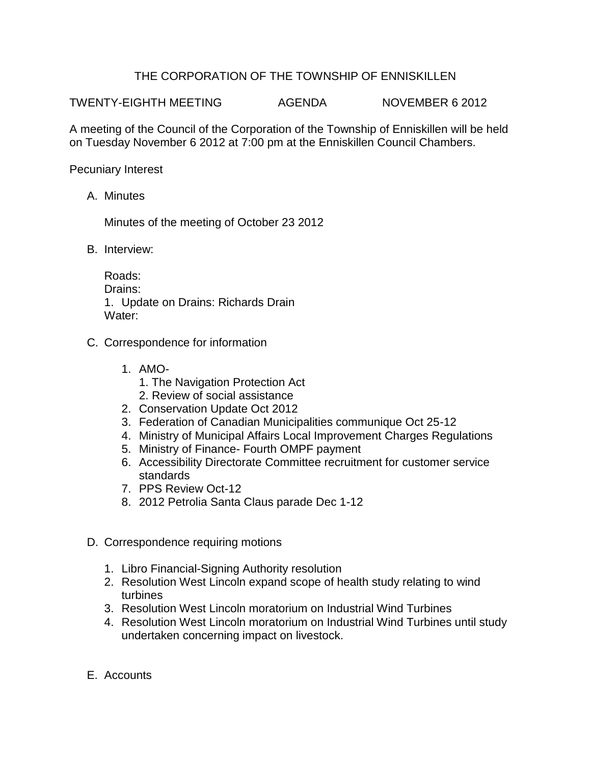## THE CORPORATION OF THE TOWNSHIP OF ENNISKILLEN

TWENTY-EIGHTH MEETING AGENDA NOVEMBER 6 2012

A meeting of the Council of the Corporation of the Township of Enniskillen will be held on Tuesday November 6 2012 at 7:00 pm at the Enniskillen Council Chambers.

Pecuniary Interest

A. Minutes

Minutes of the meeting of October 23 2012

B. Interview:

Roads: Drains: 1. Update on Drains: Richards Drain Water:

- C. Correspondence for information
	- 1. AMO-
		- 1. The Navigation Protection Act
		- 2. Review of social assistance
	- 2. Conservation Update Oct 2012
	- 3. Federation of Canadian Municipalities communique Oct 25-12
	- 4. Ministry of Municipal Affairs Local Improvement Charges Regulations
	- 5. Ministry of Finance- Fourth OMPF payment
	- 6. Accessibility Directorate Committee recruitment for customer service standards
	- 7. PPS Review Oct-12
	- 8. 2012 Petrolia Santa Claus parade Dec 1-12
- D. Correspondence requiring motions
	- 1. Libro Financial-Signing Authority resolution
	- 2. Resolution West Lincoln expand scope of health study relating to wind turbines
	- 3. Resolution West Lincoln moratorium on Industrial Wind Turbines
	- 4. Resolution West Lincoln moratorium on Industrial Wind Turbines until study undertaken concerning impact on livestock.
- E. Accounts